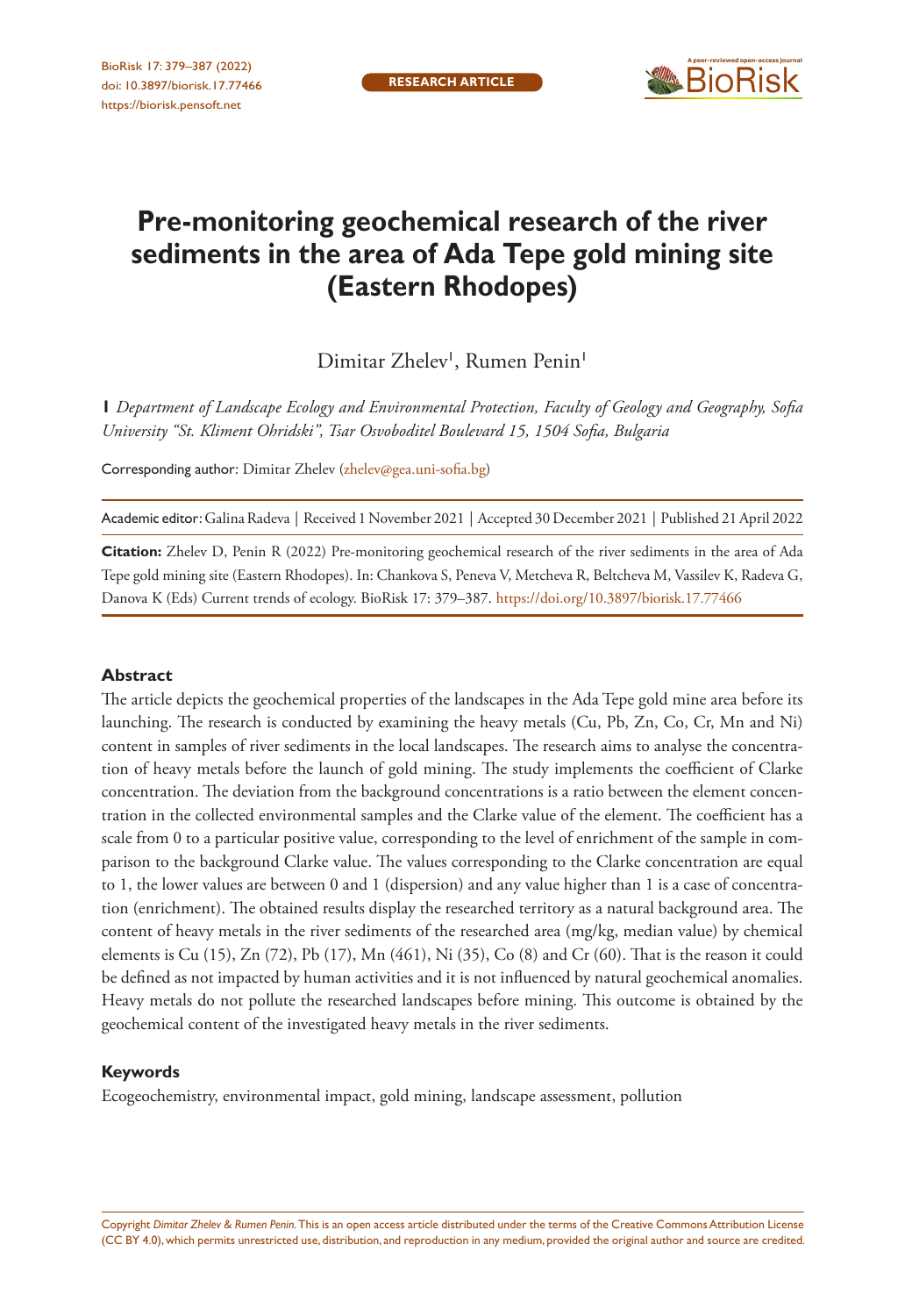

# **Pre-monitoring geochemical research of the river sediments in the area of Ada Tepe gold mining site (Eastern Rhodopes)**

Dimitar Zhelev<sup>1</sup>, Rumen Penin<sup>1</sup>

**1** *Department of Landscape Ecology and Environmental Protection, Faculty of Geology and Geography, Sofia University "St. Kliment Ohridski", Tsar Osvoboditel Boulevard 15, 1504 Sofia, Bulgaria*

Corresponding author: Dimitar Zhelev ([zhelev@gea.uni-sofia.bg](mailto:zhelev@gea.uni-sofia.bg))

Academic editor: Galina Radeva | Received 1 November 2021 | Accepted 30 December 2021 | Published 21 April 2022

**Citation:** Zhelev D, Penin R (2022) Pre-monitoring geochemical research of the river sediments in the area of Ada Tepe gold mining site (Eastern Rhodopes). In: Chankova S, Peneva V, Metcheva R, Beltcheva M, Vassilev K, Radeva G, Danova K (Eds) Current trends of ecology. BioRisk 17: 379–387.<https://doi.org/10.3897/biorisk.17.77466>

#### **Abstract**

The article depicts the geochemical properties of the landscapes in the Ada Tepe gold mine area before its launching. The research is conducted by examining the heavy metals (Cu, Pb, Zn, Co, Cr, Mn and Ni) content in samples of river sediments in the local landscapes. The research aims to analyse the concentration of heavy metals before the launch of gold mining. The study implements the coefficient of Clarke concentration. The deviation from the background concentrations is a ratio between the element concentration in the collected environmental samples and the Clarke value of the element. The coefficient has a scale from 0 to a particular positive value, corresponding to the level of enrichment of the sample in comparison to the background Clarke value. The values corresponding to the Clarke concentration are equal to 1, the lower values are between 0 and 1 (dispersion) and any value higher than 1 is a case of concentration (enrichment). The obtained results display the researched territory as a natural background area. The content of heavy metals in the river sediments of the researched area (mg/kg, median value) by chemical elements is Cu (15), Zn (72), Pb (17), Mn (461), Ni (35), Co (8) and Cr (60). That is the reason it could be defined as not impacted by human activities and it is not influenced by natural geochemical anomalies. Heavy metals do not pollute the researched landscapes before mining. This outcome is obtained by the geochemical content of the investigated heavy metals in the river sediments.

#### **Keywords**

Ecogeochemistry, environmental impact, gold mining, landscape assessment, pollution

Copyright *Dimitar Zhelev & Rumen Penin.* This is an open access article distributed under the terms of the [Creative Commons Attribution License](http://creativecommons.org/licenses/by/4.0/)  [\(CC BY 4.0\)](http://creativecommons.org/licenses/by/4.0/), which permits unrestricted use, distribution, and reproduction in any medium, provided the original author and source are credited.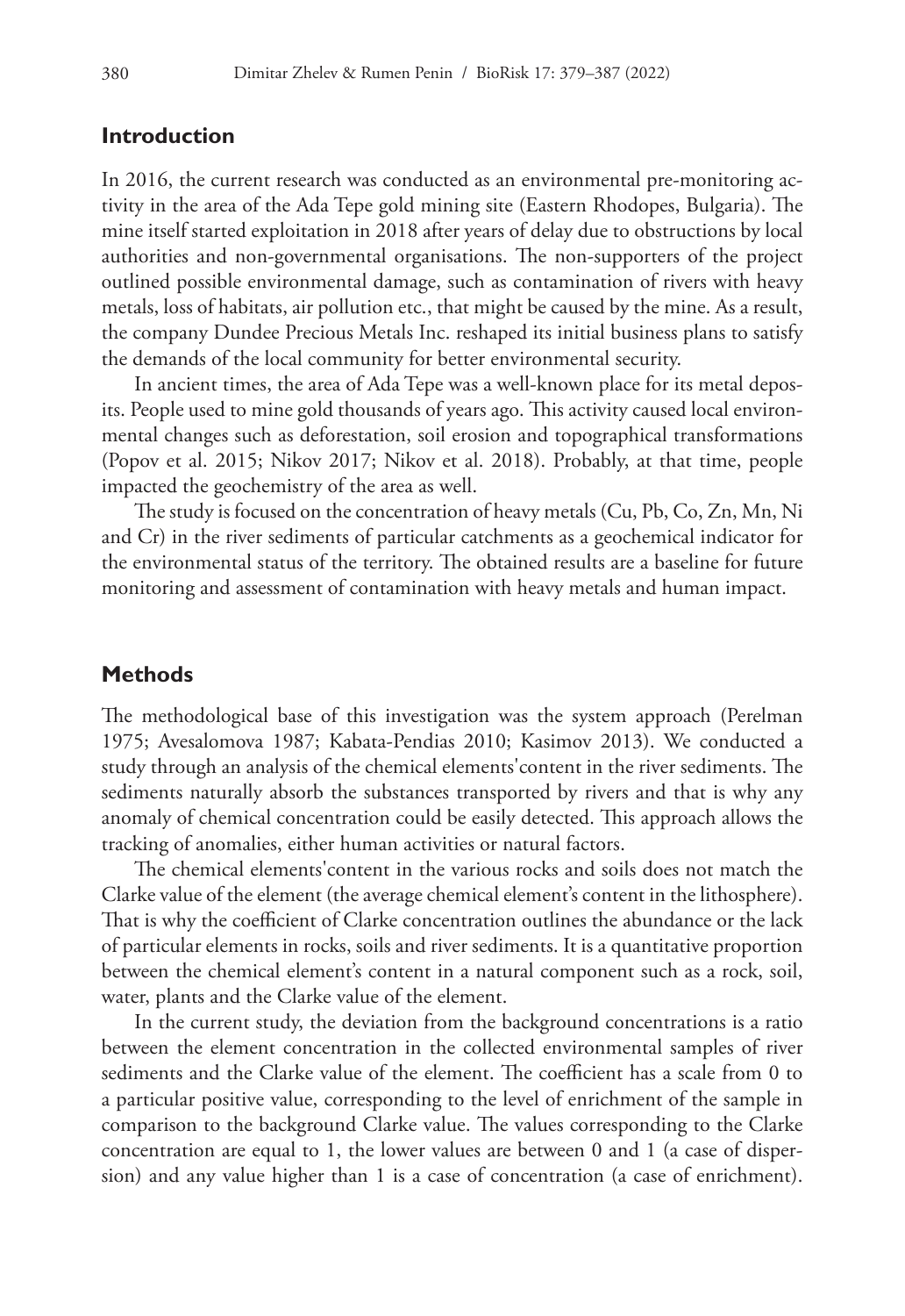#### **Introduction**

In 2016, the current research was conducted as an environmental pre-monitoring activity in the area of the Ada Tepe gold mining site (Eastern Rhodopes, Bulgaria). The mine itself started exploitation in 2018 after years of delay due to obstructions by local authorities and non-governmental organisations. The non-supporters of the project outlined possible environmental damage, such as contamination of rivers with heavy metals, loss of habitats, air pollution etc., that might be caused by the mine. As a result, the company Dundee Precious Metals Inc. reshaped its initial business plans to satisfy the demands of the local community for better environmental security.

In ancient times, the area of Ada Tepe was a well-known place for its metal deposits. People used to mine gold thousands of years ago. This activity caused local environmental changes such as deforestation, soil erosion and topographical transformations (Popov et al. 2015; Nikov 2017; Nikov et al. 2018). Probably, at that time, people impacted the geochemistry of the area as well.

The study is focused on the concentration of heavy metals (Cu, Pb, Co, Zn, Mn, Ni and Cr) in the river sediments of particular catchments as a geochemical indicator for the environmental status of the territory. The obtained results are a baseline for future monitoring and assessment of contamination with heavy metals and human impact.

## **Methods**

The methodological base of this investigation was the system approach (Perelman 1975; Avesalomova 1987; Kabata-Pendias 2010; Kasimov 2013). We conducted a study through an analysis of the chemical elements'content in the river sediments. The sediments naturally absorb the substances transported by rivers and that is why any anomaly of chemical concentration could be easily detected. This approach allows the tracking of anomalies, either human activities or natural factors.

The chemical elements'content in the various rocks and soils does not match the Clarke value of the element (the average chemical element's content in the lithosphere). That is why the coefficient of Clarke concentration outlines the abundance or the lack of particular elements in rocks, soils and river sediments. It is a quantitative proportion between the chemical element's content in a natural component such as a rock, soil, water, plants and the Clarke value of the element.

In the current study, the deviation from the background concentrations is a ratio between the element concentration in the collected environmental samples of river sediments and the Clarke value of the element. The coefficient has a scale from 0 to a particular positive value, corresponding to the level of enrichment of the sample in comparison to the background Clarke value. The values corresponding to the Clarke concentration are equal to 1, the lower values are between 0 and 1 (a case of dispersion) and any value higher than 1 is a case of concentration (a case of enrichment).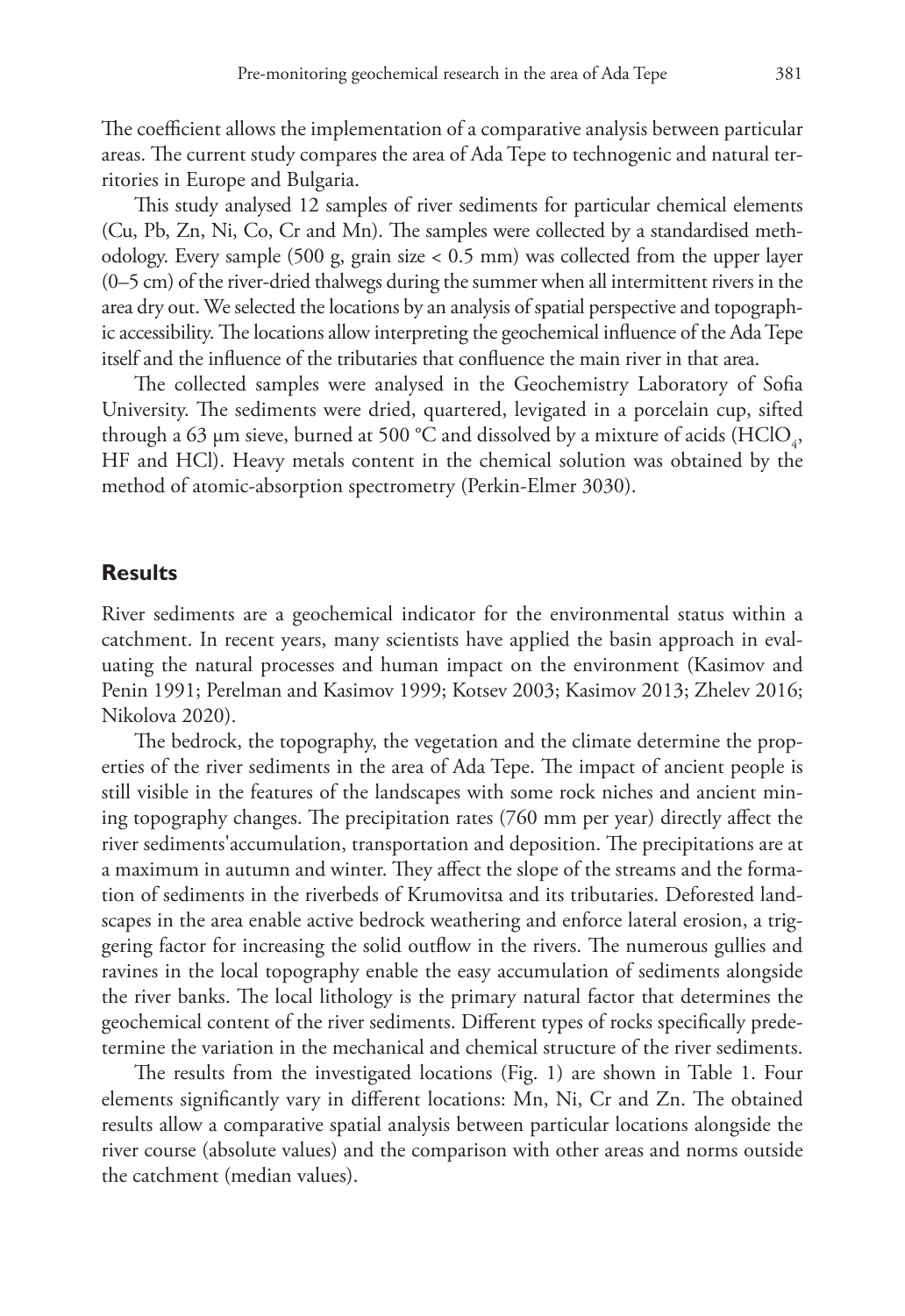The coefficient allows the implementation of a comparative analysis between particular areas. The current study compares the area of Ada Tepe to technogenic and natural territories in Europe and Bulgaria.

This study analysed 12 samples of river sediments for particular chemical elements (Cu, Pb, Zn, Ni, Co, Cr and Mn). The samples were collected by a standardised methodology. Every sample (500 g, grain size < 0.5 mm) was collected from the upper layer (0–5 cm) of the river-dried thalwegs during the summer when all intermittent rivers in the area dry out. We selected the locations by an analysis of spatial perspective and topographic accessibility. The locations allow interpreting the geochemical influence of the Ada Tepe itself and the influence of the tributaries that confluence the main river in that area.

The collected samples were analysed in the Geochemistry Laboratory of Sofia University. The sediments were dried, quartered, levigated in a porcelain cup, sifted through a 63 µm sieve, burned at 500 °C and dissolved by a mixture of acids (HClO<sub>4</sub>, HF and HCl). Heavy metals content in the chemical solution was obtained by the method of atomic-absorption spectrometry (Perkin-Elmer 3030).

## **Results**

River sediments are a geochemical indicator for the environmental status within a catchment. In recent years, many scientists have applied the basin approach in evaluating the natural processes and human impact on the environment (Kasimov and Penin 1991; Perelman and Kasimov 1999; Kotsev 2003; Kasimov 2013; Zhelev 2016; Nikolova 2020).

The bedrock, the topography, the vegetation and the climate determine the properties of the river sediments in the area of Ada Tepe. The impact of ancient people is still visible in the features of the landscapes with some rock niches and ancient mining topography changes. The precipitation rates (760 mm per year) directly affect the river sediments'accumulation, transportation and deposition. The precipitations are at a maximum in autumn and winter. They affect the slope of the streams and the formation of sediments in the riverbeds of Krumovitsa and its tributaries. Deforested landscapes in the area enable active bedrock weathering and enforce lateral erosion, a triggering factor for increasing the solid outflow in the rivers. The numerous gullies and ravines in the local topography enable the easy accumulation of sediments alongside the river banks. The local lithology is the primary natural factor that determines the geochemical content of the river sediments. Different types of rocks specifically predetermine the variation in the mechanical and chemical structure of the river sediments.

The results from the investigated locations (Fig. 1) are shown in Table 1. Four elements significantly vary in different locations: Mn, Ni, Cr and Zn. The obtained results allow a comparative spatial analysis between particular locations alongside the river course (absolute values) and the comparison with other areas and norms outside the catchment (median values).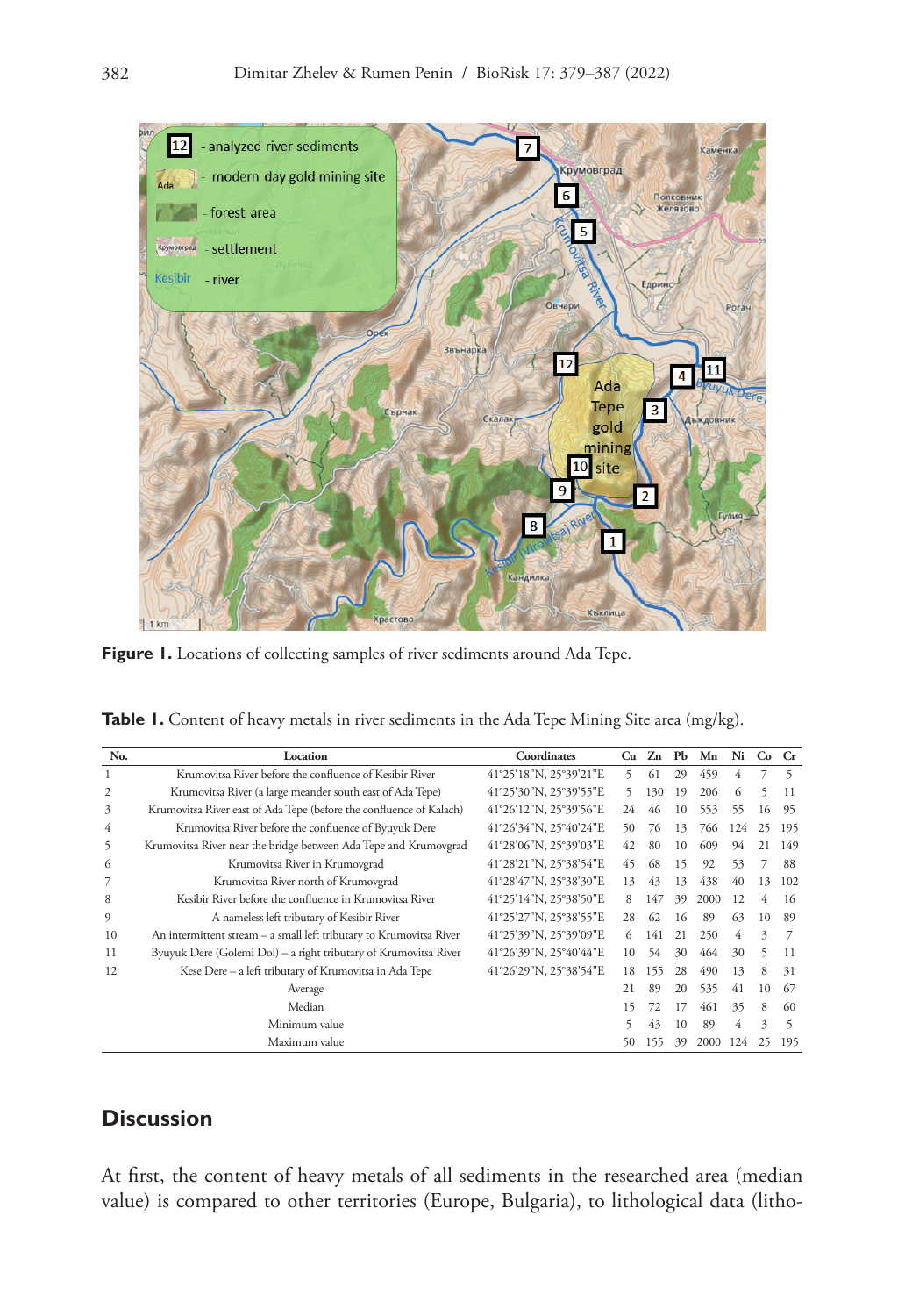

Figure 1. Locations of collecting samples of river sediments around Ada Tepe.

|  | Table 1. Content of heavy metals in river sediments in the Ada Tepe Mining Site area (mg/kg). |  |  |  |  |  |  |  |  |  |  |  |
|--|-----------------------------------------------------------------------------------------------|--|--|--|--|--|--|--|--|--|--|--|
|--|-----------------------------------------------------------------------------------------------|--|--|--|--|--|--|--|--|--|--|--|

| No.            | Location                                                            | Coordinates            | Cu | Zn  | PЬ | Mn   | Ni  | Co | $C_{r}$ |
|----------------|---------------------------------------------------------------------|------------------------|----|-----|----|------|-----|----|---------|
| 1              | Krumovitsa River before the confluence of Kesibir River             | 41°25'18"N, 25°39'21"E | 5. | 61  | 29 | 459  | 4   |    | 5       |
| $\overline{2}$ | Krumovitsa River (a large meander south east of Ada Tepe)           | 41°25'30"N, 25°39'55"E | 5. | 130 | 19 | 206  | 6   | 5  | 11      |
| 3              | Krumovitsa River east of Ada Tepe (before the confluence of Kalach) | 41°26'12"N, 25°39'56"E | 24 | 46  | 10 | 553  | 55  | 16 | 95      |
| 4              | Krumovitsa River before the confluence of Byuyuk Dere               | 41°26'34"N, 25°40'24"E | 50 | 76  | 13 | 766  | 124 | 25 | 195     |
| 5              | Krumovitsa River near the bridge between Ada Tepe and Krumovgrad    | 41°28'06"N, 25°39'03"E | 42 | 80  | 10 | 609  | 94  | 21 | 149     |
| 6              | Krumovitsa River in Krumovgrad                                      | 41°28'21"N, 25°38'54"E | 45 | 68  | 15 | 92   | 53  |    | 88      |
|                | Krumovitsa River north of Krumovgrad                                | 41°28'47"N, 25°38'30"E | 13 | 43  | 13 | 438  | 40  | 13 | 102     |
| 8              | Kesibir River before the confluence in Krumovitsa River             | 41°25'14"N, 25°38'50"E | 8  | 147 | 39 | 2000 | 12  | 4  | 16      |
| 9              | A nameless left tributary of Kesibir River                          | 41°25'27"N, 25°38'55"E | 28 | 62  | 16 | 89   | 63  | 10 | 89      |
| 10             | An intermittent stream - a small left tributary to Krumovitsa River | 41°25'39"N, 25°39'09"E | 6  | 141 | 21 | 250  | 4   | 3  | 7       |
| 11             | Byuyuk Dere (Golemi Dol) – a right tributary of Krumovitsa River    | 41°26'39"N, 25°40'44"E | 10 | 54  | 30 | 464  | 30  | 5  | 11      |
| 12             | Kese Dere - a left tributary of Krumovitsa in Ada Tepe              | 41°26'29"N, 25°38'54"E | 18 | 155 | 28 | 490  | 13  | 8  | 31      |
|                | Average                                                             |                        | 21 | 89  | 20 | 535  | 41  | 10 | 67      |
|                | Median                                                              |                        | 15 | 72  | 17 | 461  | 35  | 8  | 60      |
|                | Minimum value                                                       |                        | 5  | 43  | 10 | 89   | 4   | 3  | 5       |
|                | Maximum value                                                       |                        | 50 | 155 | 39 | 2000 | 124 | 25 | 195     |

## **Discussion**

At first, the content of heavy metals of all sediments in the researched area (median value) is compared to other territories (Europe, Bulgaria), to lithological data (litho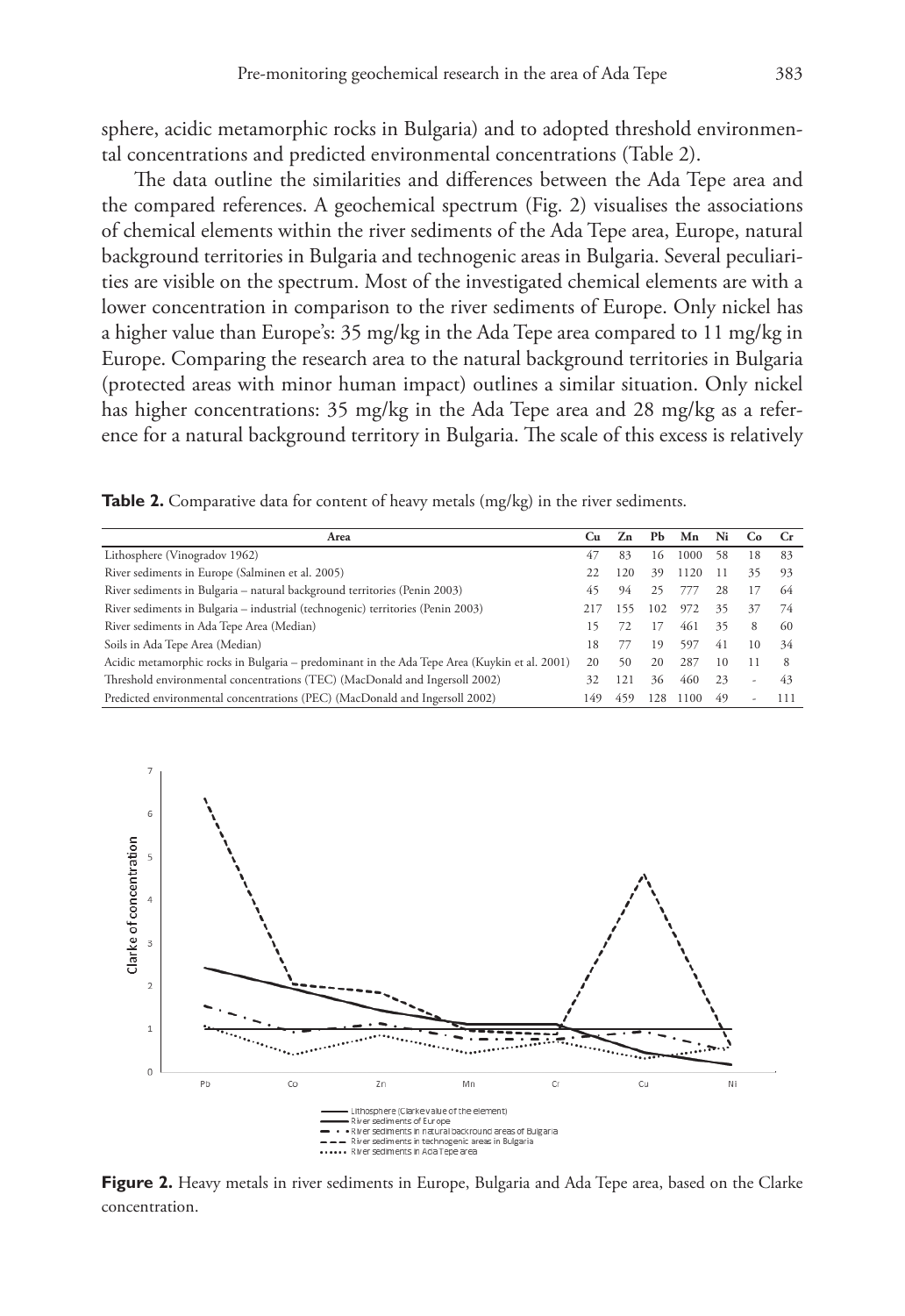sphere, acidic metamorphic rocks in Bulgaria) and to adopted threshold environmental concentrations and predicted environmental concentrations (Table 2).

The data outline the similarities and differences between the Ada Tepe area and the compared references. A geochemical spectrum (Fig. 2) visualises the associations of chemical elements within the river sediments of the Ada Tepe area, Europe, natural background territories in Bulgaria and technogenic areas in Bulgaria. Several peculiarities are visible on the spectrum. Most of the investigated chemical elements are with a lower concentration in comparison to the river sediments of Europe. Only nickel has a higher value than Europe's: 35 mg/kg in the Ada Tepe area compared to 11 mg/kg in Europe. Comparing the research area to the natural background territories in Bulgaria (protected areas with minor human impact) outlines a similar situation. Only nickel has higher concentrations: 35 mg/kg in the Ada Tepe area and 28 mg/kg as a reference for a natural background territory in Bulgaria. The scale of this excess is relatively

**Table 2.** Comparative data for content of heavy metals (mg/kg) in the river sediments.

| Area                                                                                         | Сu | Zn  | PЬ  | Mn   | Ni | Co. | - Cr |
|----------------------------------------------------------------------------------------------|----|-----|-----|------|----|-----|------|
| Lithosphere (Vinogradov 1962)                                                                | 47 | 83  | 16  | 1000 | 58 | 18  | 83   |
| River sediments in Europe (Salminen et al. 2005)                                             |    | 120 | 39  | 1120 |    | 35  | 93   |
| River sediments in Bulgaria - natural background territories (Penin 2003)                    |    | 94  | 25  |      | 28 | 17  | 64   |
| River sediments in Bulgaria - industrial (technogenic) territories (Penin 2003)              |    | 155 | 102 | 972  | 35 | 37  | 74   |
| River sediments in Ada Tepe Area (Median)                                                    |    | 72. | 17  | 461  | 35 | 8   | 60   |
| Soils in Ada Tepe Area (Median)                                                              |    |     | 19  | 597  | 41 | 10  | 34   |
| Acidic metamorphic rocks in Bulgaria - predominant in the Ada Tepe Area (Kuykin et al. 2001) |    | 50  | 20  | 287  | 10 |     | 8    |
| Threshold environmental concentrations (TEC) (MacDonald and Ingersoll 2002)                  |    | 121 | 36  | 460  | 23 |     | 43   |
| Predicted environmental concentrations (PEC) (MacDonald and Ingersoll 2002)                  |    | 459 | 128 | 1100 | 49 |     | 111  |



**Figure 2.** Heavy metals in river sediments in Europe, Bulgaria and Ada Tepe area, based on the Clarke concentration.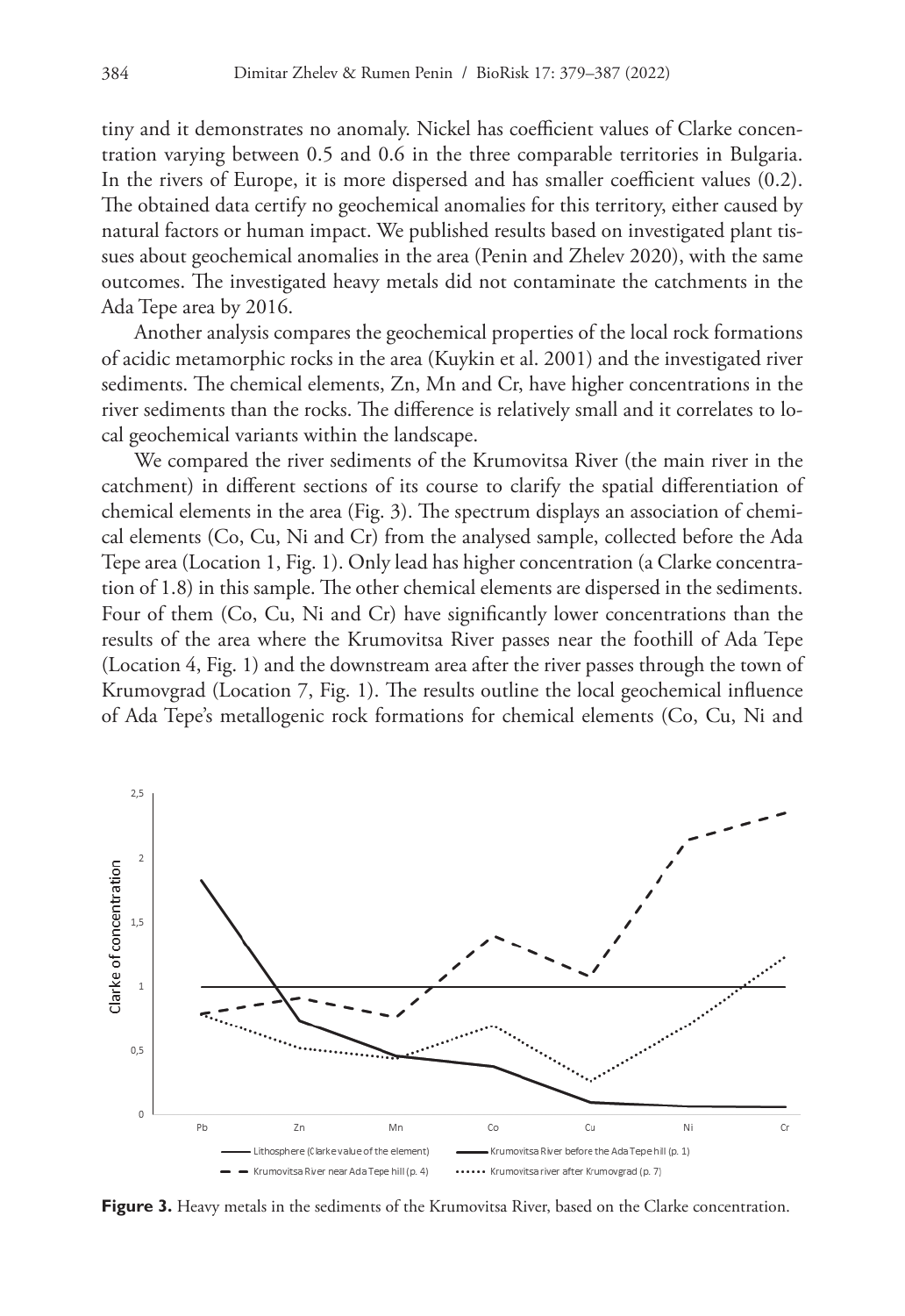tiny and it demonstrates no anomaly. Nickel has coefficient values of Clarke concentration varying between 0.5 and 0.6 in the three comparable territories in Bulgaria. In the rivers of Europe, it is more dispersed and has smaller coefficient values (0.2). The obtained data certify no geochemical anomalies for this territory, either caused by natural factors or human impact. We published results based on investigated plant tissues about geochemical anomalies in the area (Penin and Zhelev 2020), with the same outcomes. The investigated heavy metals did not contaminate the catchments in the Ada Tepe area by 2016.

Another analysis compares the geochemical properties of the local rock formations of acidic metamorphic rocks in the area (Kuykin et al. 2001) and the investigated river sediments. The chemical elements, Zn, Mn and Cr, have higher concentrations in the river sediments than the rocks. The difference is relatively small and it correlates to local geochemical variants within the landscape.

We compared the river sediments of the Krumovitsa River (the main river in the catchment) in different sections of its course to clarify the spatial differentiation of chemical elements in the area (Fig. 3). The spectrum displays an association of chemical elements (Co, Cu, Ni and Cr) from the analysed sample, collected before the Ada Tepe area (Location 1, Fig. 1). Only lead has higher concentration (a Clarke concentration of 1.8) in this sample. The other chemical elements are dispersed in the sediments. Four of them (Co, Cu, Ni and Cr) have significantly lower concentrations than the results of the area where the Krumovitsa River passes near the foothill of Ada Tepe (Location 4, Fig. 1) and the downstream area after the river passes through the town of Krumovgrad (Location 7, Fig. 1). The results outline the local geochemical influence of Ada Tepe's metallogenic rock formations for chemical elements (Co, Cu, Ni and



**Figure 3.** Heavy metals in the sediments of the Krumovitsa River, based on the Clarke concentration.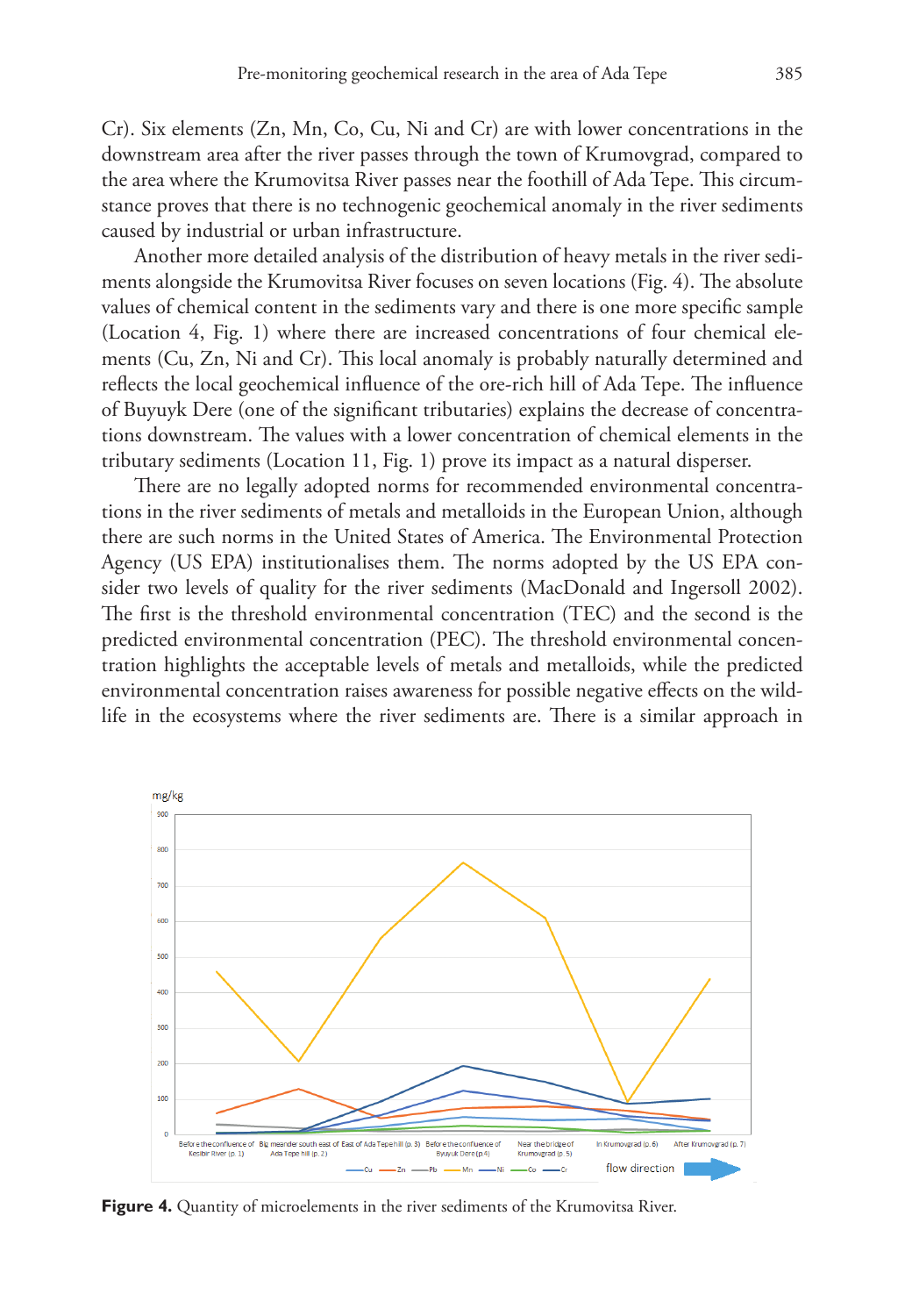Cr). Six elements (Zn, Mn, Co, Cu, Ni and Cr) are with lower concentrations in the downstream area after the river passes through the town of Krumovgrad, compared to the area where the Krumovitsa River passes near the foothill of Ada Tepe. This circumstance proves that there is no technogenic geochemical anomaly in the river sediments caused by industrial or urban infrastructure.

Another more detailed analysis of the distribution of heavy metals in the river sediments alongside the Krumovitsa River focuses on seven locations (Fig. 4). The absolute values of chemical content in the sediments vary and there is one more specific sample (Location 4, Fig. 1) where there are increased concentrations of four chemical elements (Cu, Zn, Ni and Cr). This local anomaly is probably naturally determined and reflects the local geochemical influence of the ore-rich hill of Ada Tepe. The influence of Buyuyk Dere (one of the significant tributaries) explains the decrease of concentrations downstream. The values with a lower concentration of chemical elements in the tributary sediments (Location 11, Fig. 1) prove its impact as a natural disperser.

There are no legally adopted norms for recommended environmental concentrations in the river sediments of metals and metalloids in the European Union, although there are such norms in the United States of America. The Environmental Protection Agency (US EPA) institutionalises them. The norms adopted by the US EPA consider two levels of quality for the river sediments (MacDonald and Ingersoll 2002). The first is the threshold environmental concentration (TEC) and the second is the predicted environmental concentration (PEC). The threshold environmental concentration highlights the acceptable levels of metals and metalloids, while the predicted environmental concentration raises awareness for possible negative effects on the wildlife in the ecosystems where the river sediments are. There is a similar approach in



**Figure 4.** Quantity of microelements in the river sediments of the Krumovitsa River.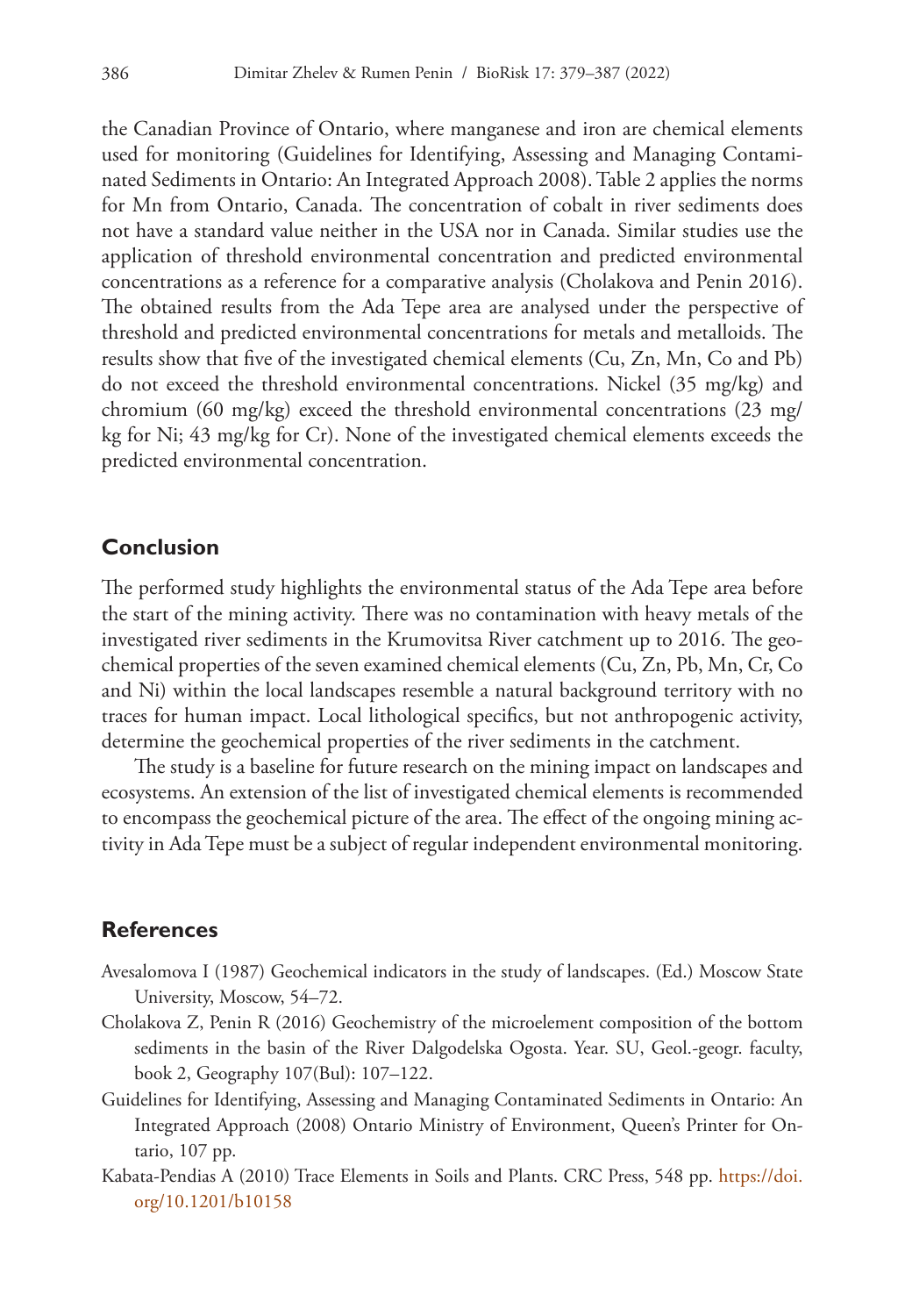the Canadian Province of Ontario, where manganese and iron are chemical elements used for monitoring (Guidelines for Identifying, Assessing and Managing Contaminated Sediments in Ontario: An Integrated Approach 2008). Table 2 applies the norms for Mn from Ontario, Canada. The concentration of cobalt in river sediments does not have a standard value neither in the USA nor in Canada. Similar studies use the application of threshold environmental concentration and predicted environmental concentrations as a reference for a comparative analysis (Cholakova and Penin 2016). The obtained results from the Ada Tepe area are analysed under the perspective of threshold and predicted environmental concentrations for metals and metalloids. The results show that five of the investigated chemical elements (Cu, Zn, Mn, Co and Pb) do not exceed the threshold environmental concentrations. Nickel (35 mg/kg) and chromium (60 mg/kg) exceed the threshold environmental concentrations (23 mg/ kg for Ni; 43 mg/kg for Cr). None of the investigated chemical elements exceeds the predicted environmental concentration.

## **Conclusion**

The performed study highlights the environmental status of the Ada Tepe area before the start of the mining activity. There was no contamination with heavy metals of the investigated river sediments in the Krumovitsa River catchment up to 2016. The geochemical properties of the seven examined chemical elements (Cu, Zn, Pb, Mn, Cr, Co and Ni) within the local landscapes resemble a natural background territory with no traces for human impact. Local lithological specifics, but not anthropogenic activity, determine the geochemical properties of the river sediments in the catchment.

The study is a baseline for future research on the mining impact on landscapes and ecosystems. An extension of the list of investigated chemical elements is recommended to encompass the geochemical picture of the area. The effect of the ongoing mining activity in Ada Tepe must be a subject of regular independent environmental monitoring.

## **References**

- Avesalomova I (1987) Geochemical indicators in the study of landscapes. (Ed.) Moscow State University, Moscow, 54–72.
- Cholakova Z, Penin R (2016) Geochemistry of the microelement composition of the bottom sediments in the basin of the River Dalgodelska Ogosta. Year. SU, Geol.-geogr. faculty, book 2, Geography 107(Bul): 107–122.
- Guidelines for Identifying, Assessing and Managing Contaminated Sediments in Ontario: An Integrated Approach (2008) Ontario Ministry of Environment, Queen's Printer for Ontario, 107 pp.
- Kabata-Pendias A (2010) Trace Elements in Soils and Plants. CRC Press, 548 pp. [https://doi.](https://doi.org/10.1201/b10158) [org/10.1201/b10158](https://doi.org/10.1201/b10158)